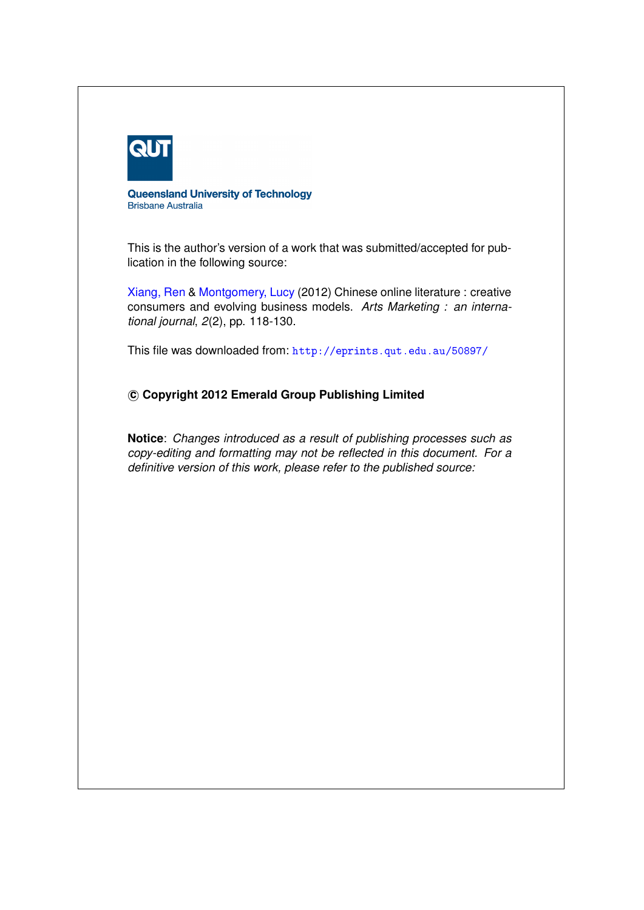

**Queensland University of Technology Brisbane Australia** 

This is the author's version of a work that was submitted/accepted for publication in the following source:

[Xiang, Ren](http://eprints.qut.edu.au/view/person/Xiang,_Ren.html) & [Montgomery, Lucy](http://eprints.qut.edu.au/view/person/Montgomery,_Lucy.html) (2012) Chinese online literature : creative consumers and evolving business models. *Arts Marketing : an international journal*, *2*(2), pp. 118-130.

This file was downloaded from: <http://eprints.qut.edu.au/50897/>

# **c Copyright 2012 Emerald Group Publishing Limited**

**Notice**: *Changes introduced as a result of publishing processes such as copy-editing and formatting may not be reflected in this document. For a definitive version of this work, please refer to the published source:*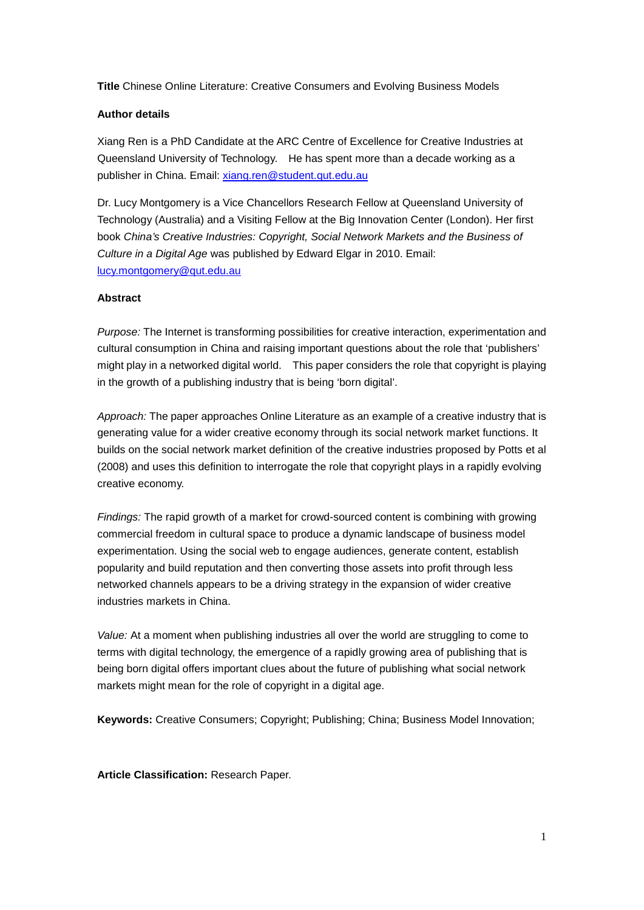**Title** Chinese Online Literature: Creative Consumers and Evolving Business Models

# **Author details**

Xiang Ren is a PhD Candidate at the ARC Centre of Excellence for Creative Industries at Queensland University of Technology. He has spent more than a decade working as a publisher in China. Email: [xiang.ren@student.qut.edu.au](mailto:xiang.ren@student.qut.edu.au)

Dr. Lucy Montgomery is a Vice Chancellors Research Fellow at Queensland University of Technology (Australia) and a Visiting Fellow at the Big Innovation Center (London). Her first book *China's Creative Industries: Copyright, Social Network Markets and the Business of Culture in a Digital Age* was published by Edward Elgar in 2010. Email: [lucy.montgomery@qut.edu.au](mailto:lucy.montgomery@qut.edu.au)

# **Abstract**

*Purpose:* The Internet is transforming possibilities for creative interaction, experimentation and cultural consumption in China and raising important questions about the role that 'publishers' might play in a networked digital world. This paper considers the role that copyright is playing in the growth of a publishing industry that is being 'born digital'.

*Approach:* The paper approaches Online Literature as an example of a creative industry that is generating value for a wider creative economy through its social network market functions. It builds on the social network market definition of the creative industries proposed by Potts et al (2008) and uses this definition to interrogate the role that copyright plays in a rapidly evolving creative economy.

*Findings:* The rapid growth of a market for crowd-sourced content is combining with growing commercial freedom in cultural space to produce a dynamic landscape of business model experimentation. Using the social web to engage audiences, generate content, establish popularity and build reputation and then converting those assets into profit through less networked channels appears to be a driving strategy in the expansion of wider creative industries markets in China.

*Value:* At a moment when publishing industries all over the world are struggling to come to terms with digital technology, the emergence of a rapidly growing area of publishing that is being born digital offers important clues about the future of publishing what social network markets might mean for the role of copyright in a digital age.

**Keywords:** Creative Consumers; Copyright; Publishing; China; Business Model Innovation;

**Article Classification:** Research Paper.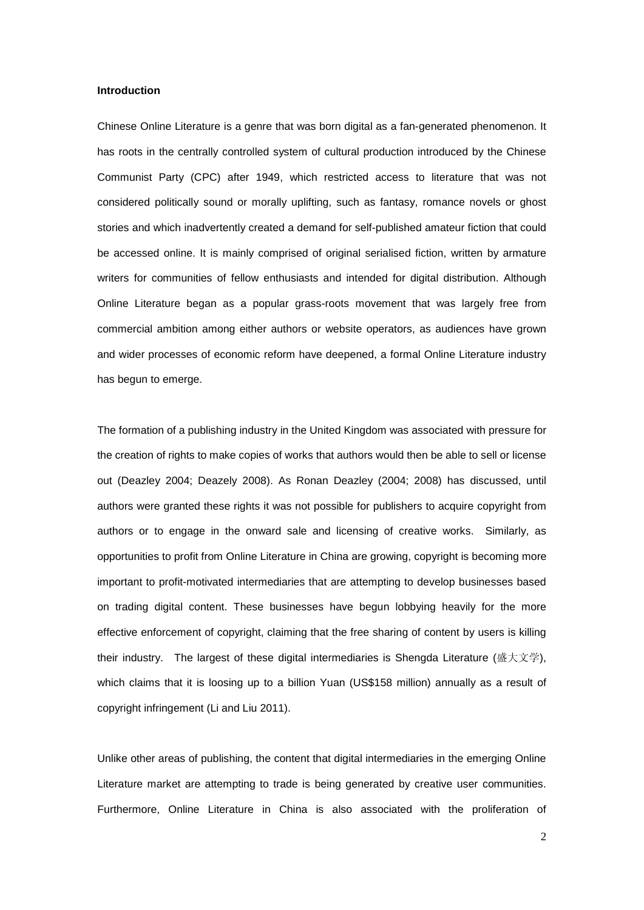#### **Introduction**

Chinese Online Literature is a genre that was born digital as a fan-generated phenomenon. It has roots in the centrally controlled system of cultural production introduced by the Chinese Communist Party (CPC) after 1949, which restricted access to literature that was not considered politically sound or morally uplifting, such as fantasy, romance novels or ghost stories and which inadvertently created a demand for self-published amateur fiction that could be accessed online. It is mainly comprised of original serialised fiction, written by armature writers for communities of fellow enthusiasts and intended for digital distribution. Although Online Literature began as a popular grass-roots movement that was largely free from commercial ambition among either authors or website operators, as audiences have grown and wider processes of economic reform have deepened, a formal Online Literature industry has begun to emerge.

The formation of a publishing industry in the United Kingdom was associated with pressure for the creation of rights to make copies of works that authors would then be able to sell or license out (Deazley 2004; Deazely 2008). As Ronan Deazley (2004; 2008) has discussed, until authors were granted these rights it was not possible for publishers to acquire copyright from authors or to engage in the onward sale and licensing of creative works. Similarly, as opportunities to profit from Online Literature in China are growing, copyright is becoming more important to profit-motivated intermediaries that are attempting to develop businesses based on trading digital content. These businesses have begun lobbying heavily for the more effective enforcement of copyright, claiming that the free sharing of content by users is killing their industry. The largest of these digital intermediaries is Shengda Literature (盛大文学), which claims that it is loosing up to a billion Yuan (US\$158 million) annually as a result of copyright infringement (Li and Liu 2011).

Unlike other areas of publishing, the content that digital intermediaries in the emerging Online Literature market are attempting to trade is being generated by creative user communities. Furthermore, Online Literature in China is also associated with the proliferation of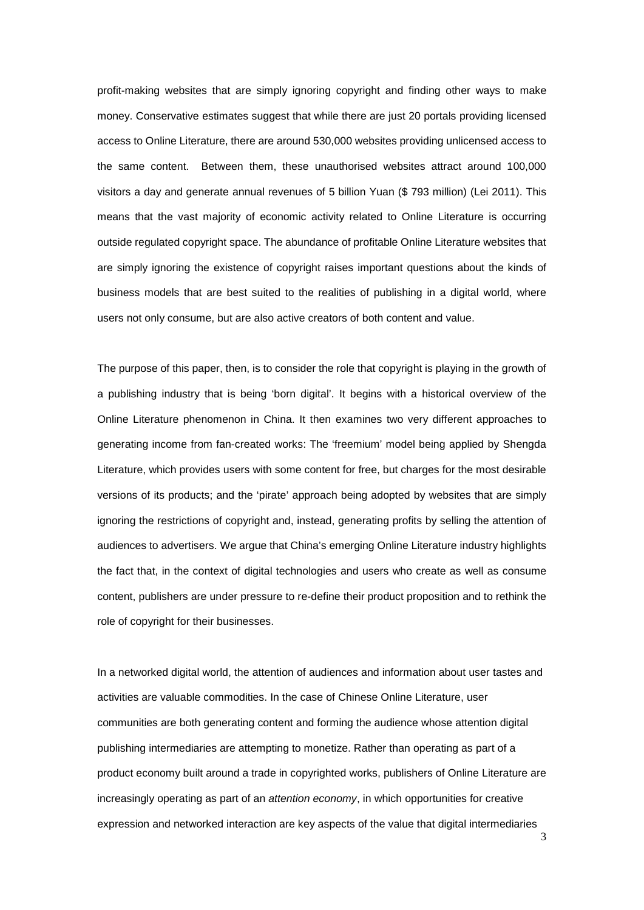profit-making websites that are simply ignoring copyright and finding other ways to make money. Conservative estimates suggest that while there are just 20 portals providing licensed access to Online Literature, there are around 530,000 websites providing unlicensed access to the same content. Between them, these unauthorised websites attract around 100,000 visitors a day and generate annual revenues of 5 billion Yuan (\$ 793 million) (Lei 2011). This means that the vast majority of economic activity related to Online Literature is occurring outside regulated copyright space. The abundance of profitable Online Literature websites that are simply ignoring the existence of copyright raises important questions about the kinds of business models that are best suited to the realities of publishing in a digital world, where users not only consume, but are also active creators of both content and value.

The purpose of this paper, then, is to consider the role that copyright is playing in the growth of a publishing industry that is being 'born digital'. It begins with a historical overview of the Online Literature phenomenon in China. It then examines two very different approaches to generating income from fan-created works: The 'freemium' model being applied by Shengda Literature, which provides users with some content for free, but charges for the most desirable versions of its products; and the 'pirate' approach being adopted by websites that are simply ignoring the restrictions of copyright and, instead, generating profits by selling the attention of audiences to advertisers. We argue that China's emerging Online Literature industry highlights the fact that, in the context of digital technologies and users who create as well as consume content, publishers are under pressure to re-define their product proposition and to rethink the role of copyright for their businesses.

In a networked digital world, the attention of audiences and information about user tastes and activities are valuable commodities. In the case of Chinese Online Literature, user communities are both generating content and forming the audience whose attention digital publishing intermediaries are attempting to monetize. Rather than operating as part of a product economy built around a trade in copyrighted works, publishers of Online Literature are increasingly operating as part of an *attention economy*, in which opportunities for creative expression and networked interaction are key aspects of the value that digital intermediaries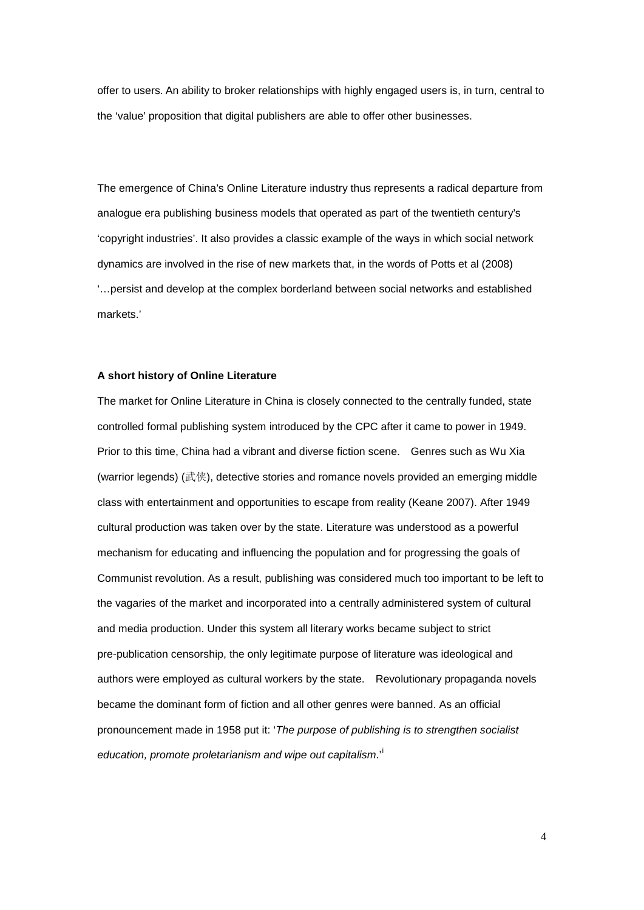offer to users. An ability to broker relationships with highly engaged users is, in turn, central to the 'value' proposition that digital publishers are able to offer other businesses.

The emergence of China's Online Literature industry thus represents a radical departure from analogue era publishing business models that operated as part of the twentieth century's 'copyright industries'. It also provides a classic example of the ways in which social network dynamics are involved in the rise of new markets that, in the words of Potts et al (2008) '…persist and develop at the complex borderland between social networks and established markets.'

### **A short history of Online Literature**

The market for Online Literature in China is closely connected to the centrally funded, state controlled formal publishing system introduced by the CPC after it came to power in 1949. Prior to this time, China had a vibrant and diverse fiction scene. Genres such as Wu Xia (warrior legends) (武侠), detective stories and romance novels provided an emerging middle class with entertainment and opportunities to escape from reality (Keane 2007). After 1949 cultural production was taken over by the state. Literature was understood as a powerful mechanism for educating and influencing the population and for progressing the goals of Communist revolution. As a result, publishing was considered much too important to be left to the vagaries of the market and incorporated into a centrally administered system of cultural and media production. Under this system all literary works became subject to strict pre-publication censorship, the only legitimate purpose of literature was ideological and authors were employed as cultural workers by the state. Revolutionary propaganda novels became the dominant form of fiction and all other genres were banned. As an official pronouncement made in 1958 put it: '*The purpose of publishing is to strengthen socialist education, promote proletarianism and wipe out capitalism*.'[i](#page-18-0)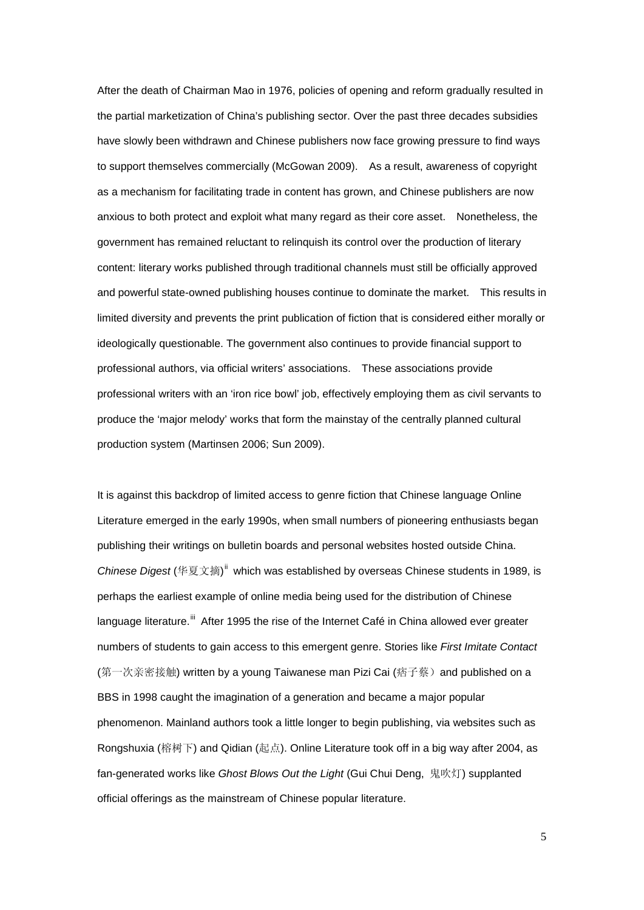After the death of Chairman Mao in 1976, policies of opening and reform gradually resulted in the partial marketization of China's publishing sector. Over the past three decades subsidies have slowly been withdrawn and Chinese publishers now face growing pressure to find ways to support themselves commercially (McGowan 2009). As a result, awareness of copyright as a mechanism for facilitating trade in content has grown, and Chinese publishers are now anxious to both protect and exploit what many regard as their core asset. Nonetheless, the government has remained reluctant to relinquish its control over the production of literary content: literary works published through traditional channels must still be officially approved and powerful state-owned publishing houses continue to dominate the market. This results in limited diversity and prevents the print publication of fiction that is considered either morally or ideologically questionable. The government also continues to provide financial support to professional authors, via official writers' associations. These associations provide professional writers with an 'iron rice bowl' job, effectively employing them as civil servants to produce the 'major melody' works that form the mainstay of the centrally planned cultural production system (Martinsen 2006; Sun 2009).

It is against this backdrop of limited access to genre fiction that Chinese language Online Literature emerged in the early 1990s, when small numbers of pioneering enthusiasts began publishing their writings on bulletin boards and personal websites hosted outside China. Chinese Digest (华夏文摘)<sup>[ii](#page-19-0)</sup> which was established by overseas Chinese students in 1989, is perhaps the earliest example of online media being used for the distribution of Chinese language literature.<sup>[iii](#page-19-1)</sup> After 1995 the rise of the Internet Café in China allowed ever greater numbers of students to gain access to this emergent genre. Stories like *First Imitate Contact* (第一次亲密接触) written by a young Taiwanese man Pizi Cai (痞子蔡) and published on a BBS in 1998 caught the imagination of a generation and became a major popular phenomenon. Mainland authors took a little longer to begin publishing, via websites such as Rongshuxia (榕树下) and Qidian (起点). Online Literature took off in a big way after 2004, as fan-generated works like *Ghost Blows Out the Light* (Gui Chui Deng, 鬼吹灯) supplanted official offerings as the mainstream of Chinese popular literature.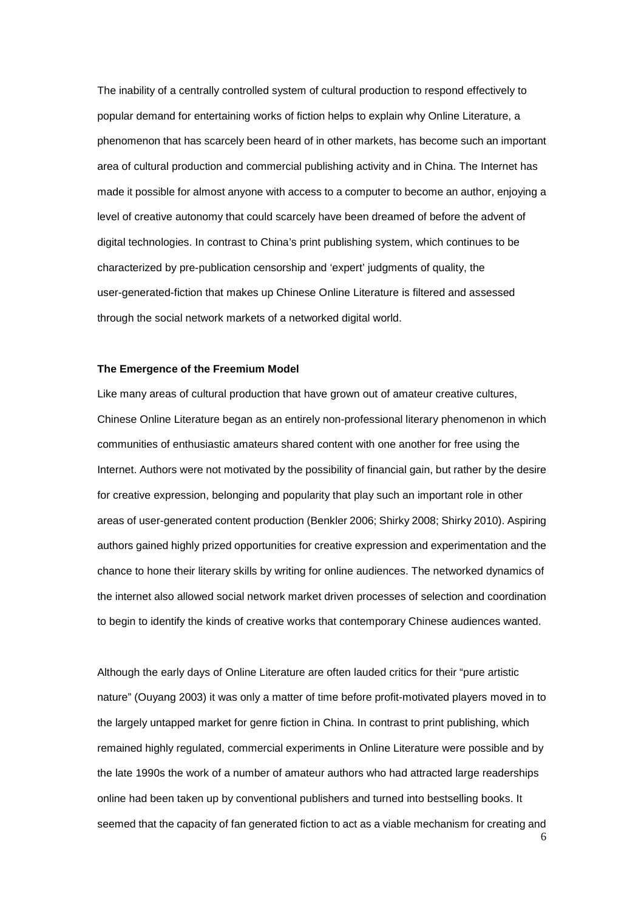The inability of a centrally controlled system of cultural production to respond effectively to popular demand for entertaining works of fiction helps to explain why Online Literature, a phenomenon that has scarcely been heard of in other markets, has become such an important area of cultural production and commercial publishing activity and in China. The Internet has made it possible for almost anyone with access to a computer to become an author, enjoying a level of creative autonomy that could scarcely have been dreamed of before the advent of digital technologies. In contrast to China's print publishing system, which continues to be characterized by pre-publication censorship and 'expert' judgments of quality, the user-generated-fiction that makes up Chinese Online Literature is filtered and assessed through the social network markets of a networked digital world.

#### **The Emergence of the Freemium Model**

Like many areas of cultural production that have grown out of amateur creative cultures, Chinese Online Literature began as an entirely non-professional literary phenomenon in which communities of enthusiastic amateurs shared content with one another for free using the Internet. Authors were not motivated by the possibility of financial gain, but rather by the desire for creative expression, belonging and popularity that play such an important role in other areas of user-generated content production (Benkler 2006; Shirky 2008; Shirky 2010). Aspiring authors gained highly prized opportunities for creative expression and experimentation and the chance to hone their literary skills by writing for online audiences. The networked dynamics of the internet also allowed social network market driven processes of selection and coordination to begin to identify the kinds of creative works that contemporary Chinese audiences wanted.

Although the early days of Online Literature are often lauded critics for their "pure artistic nature" (Ouyang 2003) it was only a matter of time before profit-motivated players moved in to the largely untapped market for genre fiction in China. In contrast to print publishing, which remained highly regulated, commercial experiments in Online Literature were possible and by the late 1990s the work of a number of amateur authors who had attracted large readerships online had been taken up by conventional publishers and turned into bestselling books. It seemed that the capacity of fan generated fiction to act as a viable mechanism for creating and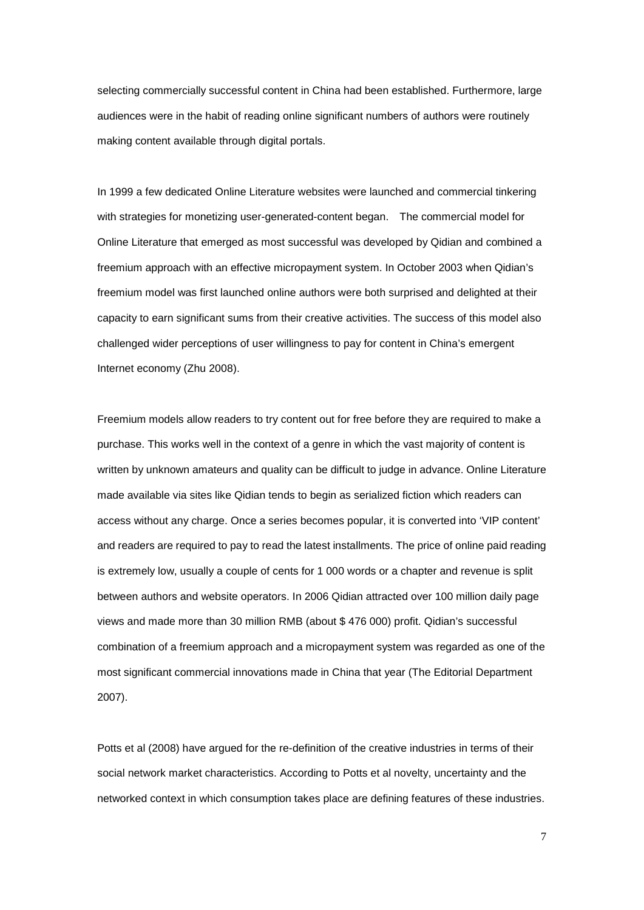selecting commercially successful content in China had been established. Furthermore, large audiences were in the habit of reading online significant numbers of authors were routinely making content available through digital portals.

In 1999 a few dedicated Online Literature websites were launched and commercial tinkering with strategies for monetizing user-generated-content began. The commercial model for Online Literature that emerged as most successful was developed by Qidian and combined a freemium approach with an effective micropayment system. In October 2003 when Qidian's freemium model was first launched online authors were both surprised and delighted at their capacity to earn significant sums from their creative activities. The success of this model also challenged wider perceptions of user willingness to pay for content in China's emergent Internet economy (Zhu 2008).

Freemium models allow readers to try content out for free before they are required to make a purchase. This works well in the context of a genre in which the vast majority of content is written by unknown amateurs and quality can be difficult to judge in advance. Online Literature made available via sites like Qidian tends to begin as serialized fiction which readers can access without any charge. Once a series becomes popular, it is converted into 'VIP content' and readers are required to pay to read the latest installments. The price of online paid reading is extremely low, usually a couple of cents for 1 000 words or a chapter and revenue is split between authors and website operators. In 2006 Qidian attracted over 100 million daily page views and made more than 30 million RMB (about \$ 476 000) profit. Qidian's successful combination of a freemium approach and a micropayment system was regarded as one of the most significant commercial innovations made in China that year (The Editorial Department 2007).

Potts et al (2008) have argued for the re-definition of the creative industries in terms of their social network market characteristics. According to Potts et al novelty, uncertainty and the networked context in which consumption takes place are defining features of these industries.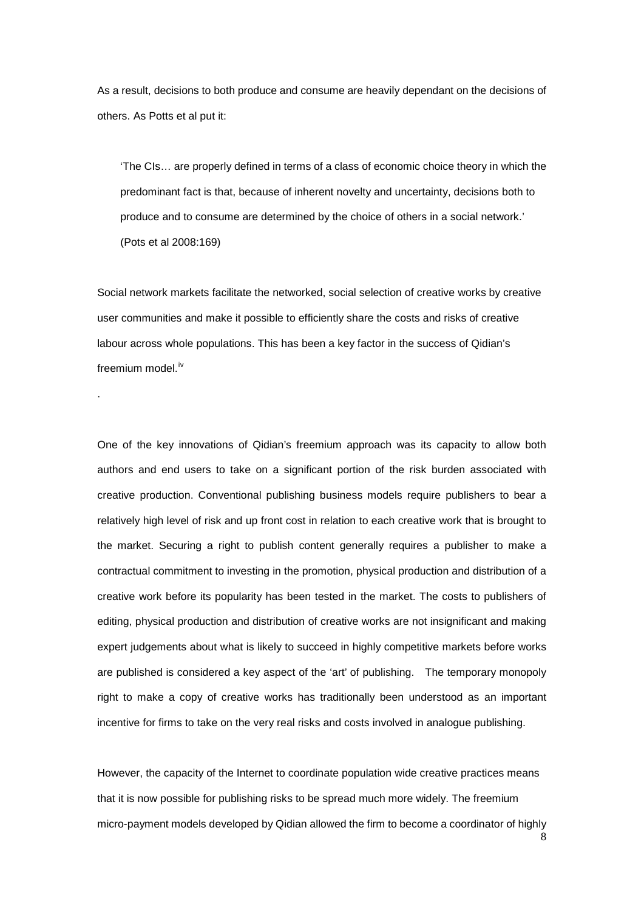As a result, decisions to both produce and consume are heavily dependant on the decisions of others. As Potts et al put it:

'The CIs… are properly defined in terms of a class of economic choice theory in which the predominant fact is that, because of inherent novelty and uncertainty, decisions both to produce and to consume are determined by the choice of others in a social network.' (Pots et al 2008:169)

Social network markets facilitate the networked, social selection of creative works by creative user communities and make it possible to efficiently share the costs and risks of creative labour across whole populations. This has been a key factor in the success of Qidian's freemium model.<sup>[iv](#page-19-2)</sup>

.

One of the key innovations of Qidian's freemium approach was its capacity to allow both authors and end users to take on a significant portion of the risk burden associated with creative production. Conventional publishing business models require publishers to bear a relatively high level of risk and up front cost in relation to each creative work that is brought to the market. Securing a right to publish content generally requires a publisher to make a contractual commitment to investing in the promotion, physical production and distribution of a creative work before its popularity has been tested in the market. The costs to publishers of editing, physical production and distribution of creative works are not insignificant and making expert judgements about what is likely to succeed in highly competitive markets before works are published is considered a key aspect of the 'art' of publishing. The temporary monopoly right to make a copy of creative works has traditionally been understood as an important incentive for firms to take on the very real risks and costs involved in analogue publishing.

However, the capacity of the Internet to coordinate population wide creative practices means that it is now possible for publishing risks to be spread much more widely. The freemium micro-payment models developed by Qidian allowed the firm to become a coordinator of highly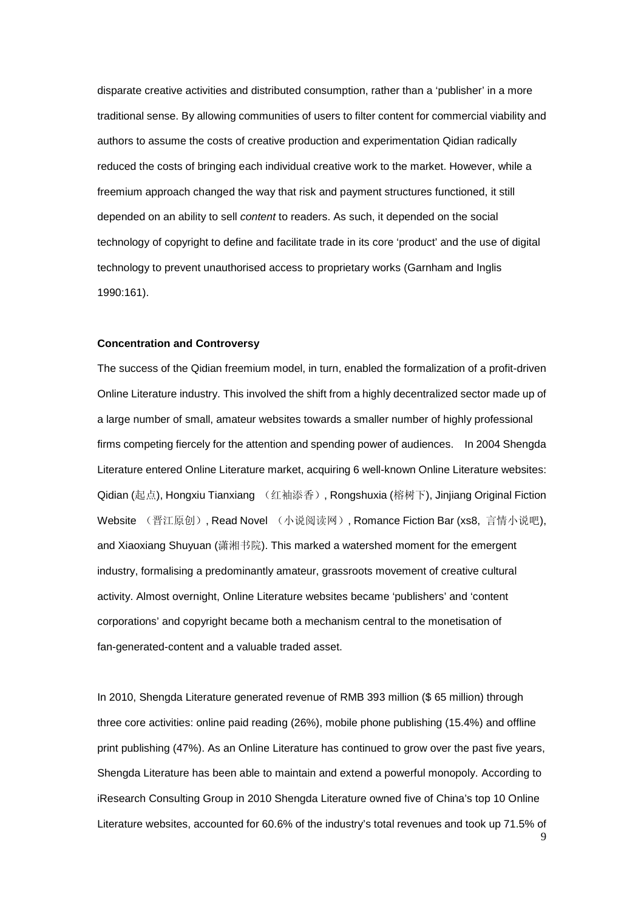disparate creative activities and distributed consumption, rather than a 'publisher' in a more traditional sense. By allowing communities of users to filter content for commercial viability and authors to assume the costs of creative production and experimentation Qidian radically reduced the costs of bringing each individual creative work to the market. However, while a freemium approach changed the way that risk and payment structures functioned, it still depended on an ability to sell *content* to readers. As such, it depended on the social technology of copyright to define and facilitate trade in its core 'product' and the use of digital technology to prevent unauthorised access to proprietary works (Garnham and Inglis 1990:161).

### **Concentration and Controversy**

The success of the Qidian freemium model, in turn, enabled the formalization of a profit-driven Online Literature industry. This involved the shift from a highly decentralized sector made up of a large number of small, amateur websites towards a smaller number of highly professional firms competing fiercely for the attention and spending power of audiences. In 2004 Shengda Literature entered Online Literature market, acquiring 6 well-known Online Literature websites: Qidian (起点), Hongxiu Tianxiang (红袖添香), Rongshuxia (榕树下), Jinjiang Original Fiction Website (晋江原创), Read Novel (小说阅读网), Romance Fiction Bar (xs8, 言情小说吧), and Xiaoxiang Shuyuan (潇湘书院). This marked a watershed moment for the emergent industry, formalising a predominantly amateur, grassroots movement of creative cultural activity. Almost overnight, Online Literature websites became 'publishers' and 'content corporations' and copyright became both a mechanism central to the monetisation of fan-generated-content and a valuable traded asset.

In 2010, Shengda Literature generated revenue of RMB 393 million (\$ 65 million) through three core activities: online paid reading (26%), mobile phone publishing (15.4%) and offline print publishing (47%). As an Online Literature has continued to grow over the past five years, Shengda Literature has been able to maintain and extend a powerful monopoly. According to iResearch Consulting Group in 2010 Shengda Literature owned five of China's top 10 Online Literature websites, accounted for 60.6% of the industry's total revenues and took up 71.5% of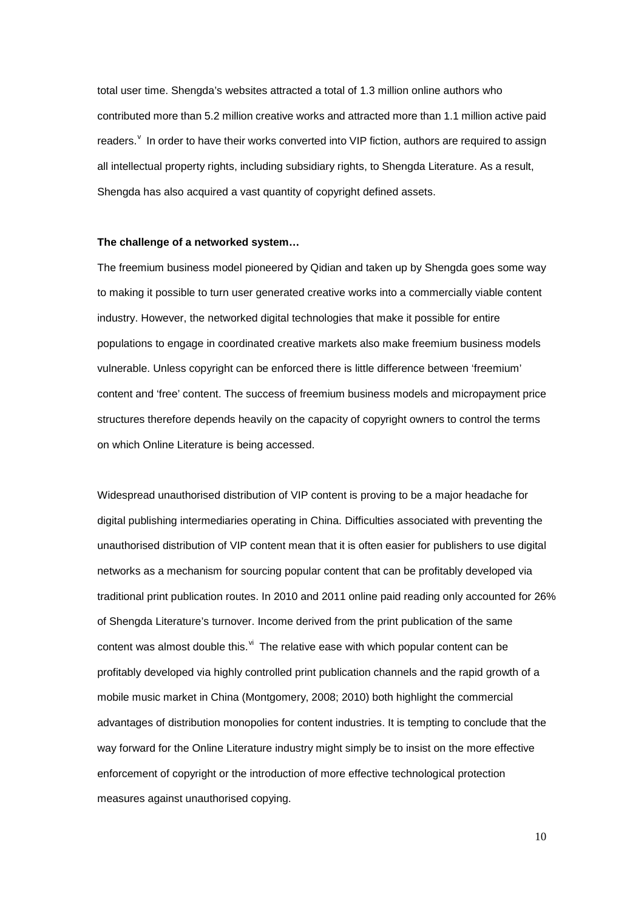total user time. Shengda's websites attracted a total of 1.3 million online authors who contributed more than 5.2 million creative works and attracted more than 1.1 million active paid readers.<sup>[v](#page-19-3)</sup> In order to have their works converted into VIP fiction, authors are required to assign all intellectual property rights, including subsidiary rights, to Shengda Literature. As a result, Shengda has also acquired a vast quantity of copyright defined assets.

#### **The challenge of a networked system…**

The freemium business model pioneered by Qidian and taken up by Shengda goes some way to making it possible to turn user generated creative works into a commercially viable content industry. However, the networked digital technologies that make it possible for entire populations to engage in coordinated creative markets also make freemium business models vulnerable. Unless copyright can be enforced there is little difference between 'freemium' content and 'free' content. The success of freemium business models and micropayment price structures therefore depends heavily on the capacity of copyright owners to control the terms on which Online Literature is being accessed.

Widespread unauthorised distribution of VIP content is proving to be a major headache for digital publishing intermediaries operating in China. Difficulties associated with preventing the unauthorised distribution of VIP content mean that it is often easier for publishers to use digital networks as a mechanism for sourcing popular content that can be profitably developed via traditional print publication routes. In 2010 and 2011 online paid reading only accounted for 26% of Shengda Literature's turnover. Income derived from the print publication of the same content was almost double this. $v_i$  The relative ease with which popular content can be profitably developed via highly controlled print publication channels and the rapid growth of a mobile music market in China (Montgomery, 2008; 2010) both highlight the commercial advantages of distribution monopolies for content industries. It is tempting to conclude that the way forward for the Online Literature industry might simply be to insist on the more effective enforcement of copyright or the introduction of more effective technological protection measures against unauthorised copying.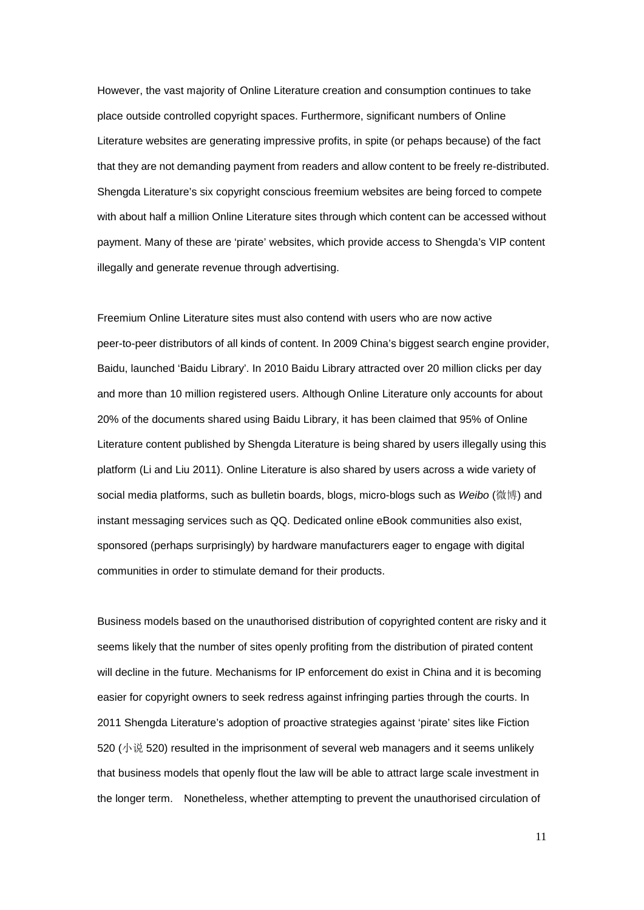However, the vast majority of Online Literature creation and consumption continues to take place outside controlled copyright spaces. Furthermore, significant numbers of Online Literature websites are generating impressive profits, in spite (or pehaps because) of the fact that they are not demanding payment from readers and allow content to be freely re-distributed. Shengda Literature's six copyright conscious freemium websites are being forced to compete with about half a million Online Literature sites through which content can be accessed without payment. Many of these are 'pirate' websites, which provide access to Shengda's VIP content illegally and generate revenue through advertising.

Freemium Online Literature sites must also contend with users who are now active peer-to-peer distributors of all kinds of content. In 2009 China's biggest search engine provider, Baidu, launched 'Baidu Library'. In 2010 Baidu Library attracted over 20 million clicks per day and more than 10 million registered users. Although Online Literature only accounts for about 20% of the documents shared using Baidu Library, it has been claimed that 95% of Online Literature content published by Shengda Literature is being shared by users illegally using this platform (Li and Liu 2011). Online Literature is also shared by users across a wide variety of social media platforms, such as bulletin boards, blogs, micro-blogs such as *Weibo* (微博) and instant messaging services such as QQ. Dedicated online eBook communities also exist, sponsored (perhaps surprisingly) by hardware manufacturers eager to engage with digital communities in order to stimulate demand for their products.

Business models based on the unauthorised distribution of copyrighted content are risky and it seems likely that the number of sites openly profiting from the distribution of pirated content will decline in the future. Mechanisms for IP enforcement do exist in China and it is becoming easier for copyright owners to seek redress against infringing parties through the courts. In 2011 Shengda Literature's adoption of proactive strategies against 'pirate' sites like Fiction 520 (小说 520) resulted in the imprisonment of several web managers and it seems unlikely that business models that openly flout the law will be able to attract large scale investment in the longer term. Nonetheless, whether attempting to prevent the unauthorised circulation of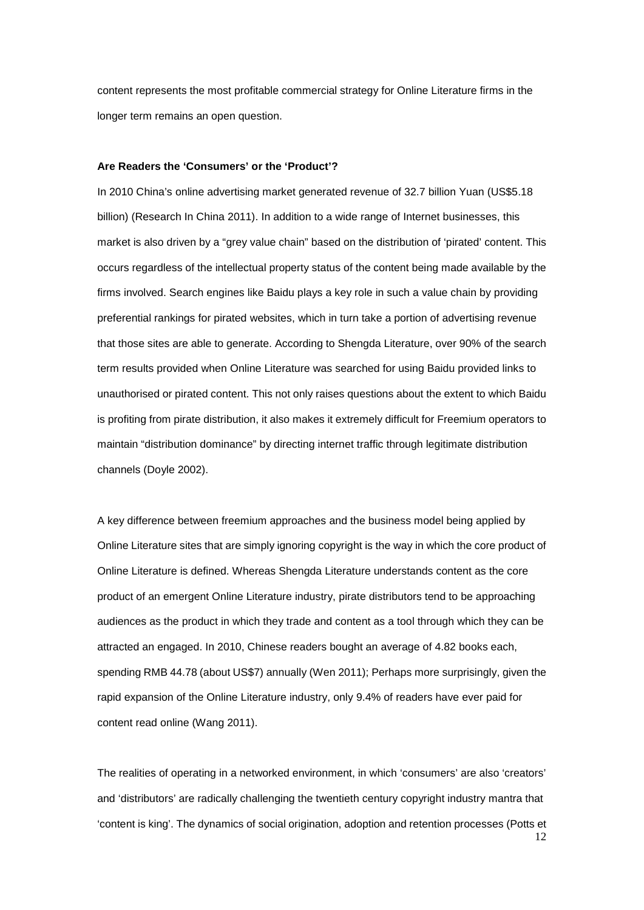content represents the most profitable commercial strategy for Online Literature firms in the longer term remains an open question.

### **Are Readers the 'Consumers' or the 'Product'?**

In 2010 China's online advertising market generated revenue of 32.7 billion Yuan (US\$5.18 billion) (Research In China 2011). In addition to a wide range of Internet businesses, this market is also driven by a "grey value chain" based on the distribution of 'pirated' content. This occurs regardless of the intellectual property status of the content being made available by the firms involved. Search engines like Baidu plays a key role in such a value chain by providing preferential rankings for pirated websites, which in turn take a portion of advertising revenue that those sites are able to generate. According to Shengda Literature, over 90% of the search term results provided when Online Literature was searched for using Baidu provided links to unauthorised or pirated content. This not only raises questions about the extent to which Baidu is profiting from pirate distribution, it also makes it extremely difficult for Freemium operators to maintain "distribution dominance" by directing internet traffic through legitimate distribution channels (Doyle 2002).

A key difference between freemium approaches and the business model being applied by Online Literature sites that are simply ignoring copyright is the way in which the core product of Online Literature is defined. Whereas Shengda Literature understands content as the core product of an emergent Online Literature industry, pirate distributors tend to be approaching audiences as the product in which they trade and content as a tool through which they can be attracted an engaged. In 2010, Chinese readers bought an average of 4.82 books each, spending RMB 44.78 (about US\$7) annually (Wen 2011); Perhaps more surprisingly, given the rapid expansion of the Online Literature industry, only 9.4% of readers have ever paid for content read online (Wang 2011).

12 The realities of operating in a networked environment, in which 'consumers' are also 'creators' and 'distributors' are radically challenging the twentieth century copyright industry mantra that 'content is king'. The dynamics of social origination, adoption and retention processes (Potts et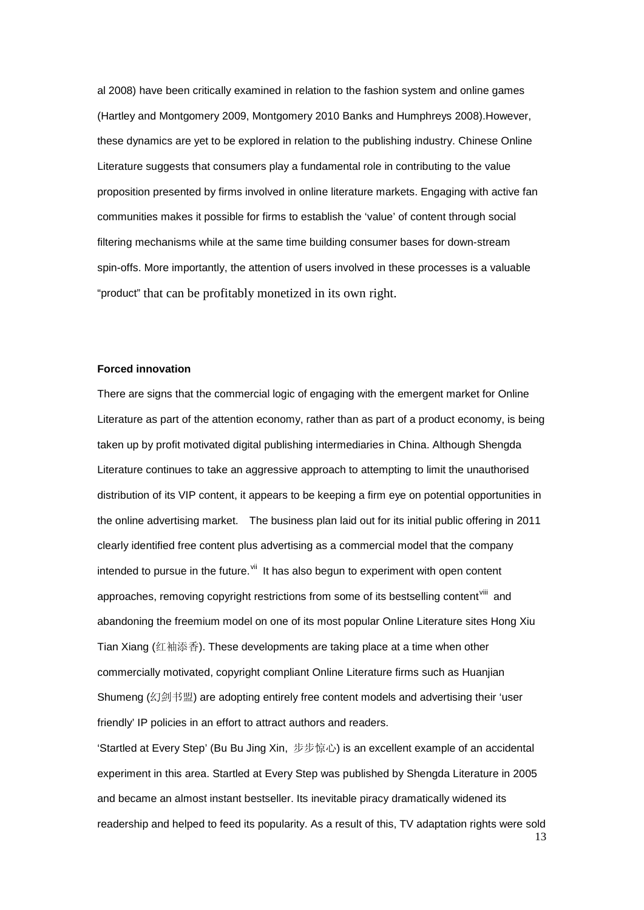al 2008) have been critically examined in relation to the fashion system and online games (Hartley and Montgomery 2009, Montgomery 2010 Banks and Humphreys 2008).However, these dynamics are yet to be explored in relation to the publishing industry. Chinese Online Literature suggests that consumers play a fundamental role in contributing to the value proposition presented by firms involved in online literature markets. Engaging with active fan communities makes it possible for firms to establish the 'value' of content through social filtering mechanisms while at the same time building consumer bases for down-stream spin-offs. More importantly, the attention of users involved in these processes is a valuable "product" that can be profitably monetized in its own right.

## **Forced innovation**

There are signs that the commercial logic of engaging with the emergent market for Online Literature as part of the attention economy, rather than as part of a product economy, is being taken up by profit motivated digital publishing intermediaries in China. Although Shengda Literature continues to take an aggressive approach to attempting to limit the unauthorised distribution of its VIP content, it appears to be keeping a firm eye on potential opportunities in the online advertising market. The business plan laid out for its initial public offering in 2011 clearly identified free content plus advertising as a commercial model that the company intended to pursue in the future.<sup>[vii](#page-19-5)</sup>lt has also begun to experiment with open content approaches, removing copyright restrictions from some of its bestselling contentvill and abandoning the freemium model on one of its most popular Online Literature sites Hong Xiu Tian Xiang (红袖添香). These developments are taking place at a time when other commercially motivated, copyright compliant Online Literature firms such as Huanjian Shumeng (幻剑书盟) are adopting entirely free content models and advertising their 'user friendly' IP policies in an effort to attract authors and readers.

'Startled at Every Step' (Bu Bu Jing Xin, 步步惊心) is an excellent example of an accidental experiment in this area. Startled at Every Step was published by Shengda Literature in 2005 and became an almost instant bestseller. Its inevitable piracy dramatically widened its readership and helped to feed its popularity. As a result of this, TV adaptation rights were sold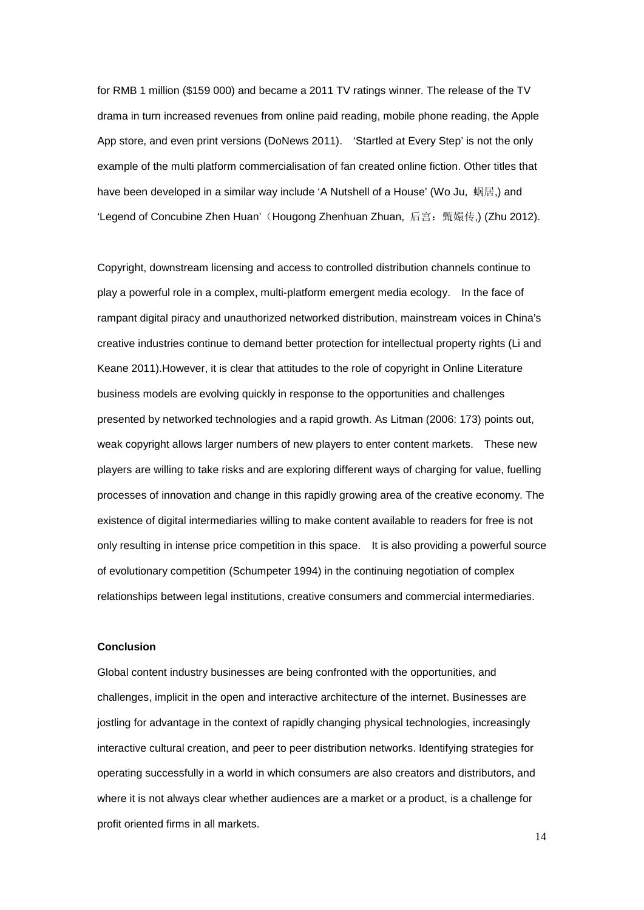for RMB 1 million (\$159 000) and became a 2011 TV ratings winner. The release of the TV drama in turn increased revenues from online paid reading, mobile phone reading, the Apple App store, and even print versions (DoNews 2011). 'Startled at Every Step' is not the only example of the multi platform commercialisation of fan created online fiction. Other titles that have been developed in a similar way include 'A Nutshell of a House' (Wo Ju, 蜗居,) and 'Legend of Concubine Zhen Huan'(Hougong Zhenhuan Zhuan, 后宫:甄嬛传,) (Zhu 2012).

Copyright, downstream licensing and access to controlled distribution channels continue to play a powerful role in a complex, multi-platform emergent media ecology. In the face of rampant digital piracy and unauthorized networked distribution, mainstream voices in China's creative industries continue to demand better protection for intellectual property rights (Li and Keane 2011).However, it is clear that attitudes to the role of copyright in Online Literature business models are evolving quickly in response to the opportunities and challenges presented by networked technologies and a rapid growth. As Litman (2006: 173) points out, weak copyright allows larger numbers of new players to enter content markets. These new players are willing to take risks and are exploring different ways of charging for value, fuelling processes of innovation and change in this rapidly growing area of the creative economy. The existence of digital intermediaries willing to make content available to readers for free is not only resulting in intense price competition in this space. It is also providing a powerful source of evolutionary competition (Schumpeter 1994) in the continuing negotiation of complex relationships between legal institutions, creative consumers and commercial intermediaries.

### **Conclusion**

Global content industry businesses are being confronted with the opportunities, and challenges, implicit in the open and interactive architecture of the internet. Businesses are jostling for advantage in the context of rapidly changing physical technologies, increasingly interactive cultural creation, and peer to peer distribution networks. Identifying strategies for operating successfully in a world in which consumers are also creators and distributors, and where it is not always clear whether audiences are a market or a product, is a challenge for profit oriented firms in all markets.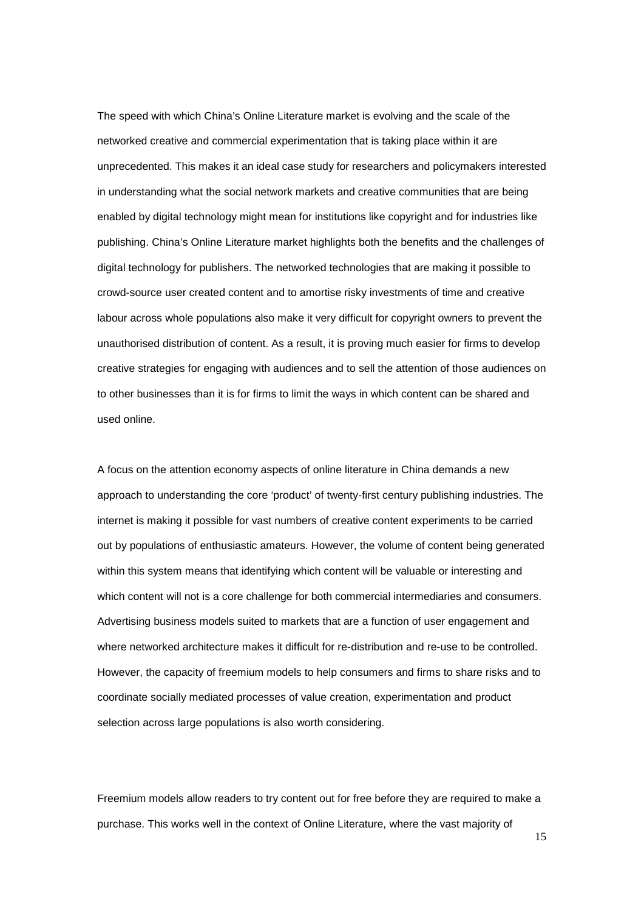The speed with which China's Online Literature market is evolving and the scale of the networked creative and commercial experimentation that is taking place within it are unprecedented. This makes it an ideal case study for researchers and policymakers interested in understanding what the social network markets and creative communities that are being enabled by digital technology might mean for institutions like copyright and for industries like publishing. China's Online Literature market highlights both the benefits and the challenges of digital technology for publishers. The networked technologies that are making it possible to crowd-source user created content and to amortise risky investments of time and creative labour across whole populations also make it very difficult for copyright owners to prevent the unauthorised distribution of content. As a result, it is proving much easier for firms to develop creative strategies for engaging with audiences and to sell the attention of those audiences on to other businesses than it is for firms to limit the ways in which content can be shared and used online.

A focus on the attention economy aspects of online literature in China demands a new approach to understanding the core 'product' of twenty-first century publishing industries. The internet is making it possible for vast numbers of creative content experiments to be carried out by populations of enthusiastic amateurs. However, the volume of content being generated within this system means that identifying which content will be valuable or interesting and which content will not is a core challenge for both commercial intermediaries and consumers. Advertising business models suited to markets that are a function of user engagement and where networked architecture makes it difficult for re-distribution and re-use to be controlled. However, the capacity of freemium models to help consumers and firms to share risks and to coordinate socially mediated processes of value creation, experimentation and product selection across large populations is also worth considering.

Freemium models allow readers to try content out for free before they are required to make a purchase. This works well in the context of Online Literature, where the vast majority of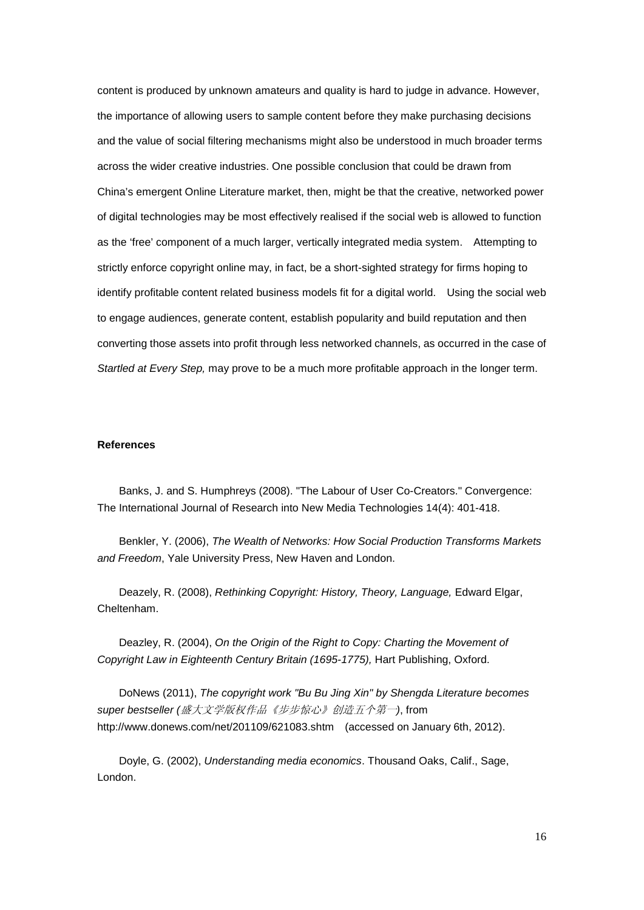content is produced by unknown amateurs and quality is hard to judge in advance. However, the importance of allowing users to sample content before they make purchasing decisions and the value of social filtering mechanisms might also be understood in much broader terms across the wider creative industries. One possible conclusion that could be drawn from China's emergent Online Literature market, then, might be that the creative, networked power of digital technologies may be most effectively realised if the social web is allowed to function as the 'free' component of a much larger, vertically integrated media system. Attempting to strictly enforce copyright online may, in fact, be a short-sighted strategy for firms hoping to identify profitable content related business models fit for a digital world. Using the social web to engage audiences, generate content, establish popularity and build reputation and then converting those assets into profit through less networked channels, as occurred in the case of *Startled at Every Step,* may prove to be a much more profitable approach in the longer term.

## **References**

Banks, J. and S. Humphreys (2008). "The Labour of User Co-Creators." Convergence: The International Journal of Research into New Media Technologies 14(4): 401-418.

Benkler, Y. (2006), *The Wealth of Networks: How Social Production Transforms Markets and Freedom*, Yale University Press, New Haven and London.

Deazely, R. (2008), *Rethinking Copyright: History, Theory, Language,* Edward Elgar, Cheltenham.

Deazley, R. (2004), *On the Origin of the Right to Copy: Charting the Movement of Copyright Law in Eighteenth Century Britain (1695-1775),* Hart Publishing, Oxford.

DoNews (2011), *The copyright work "Bu Bu Jing Xin" by Shengda Literature becomes super bestseller (*盛大文学版权作品《步步惊心》创造五个第一*)*, from http://www.donews.com/net/201109/621083.shtm (accessed on January 6th, 2012).

Doyle, G. (2002), *Understanding media economics*. Thousand Oaks, Calif., Sage, London.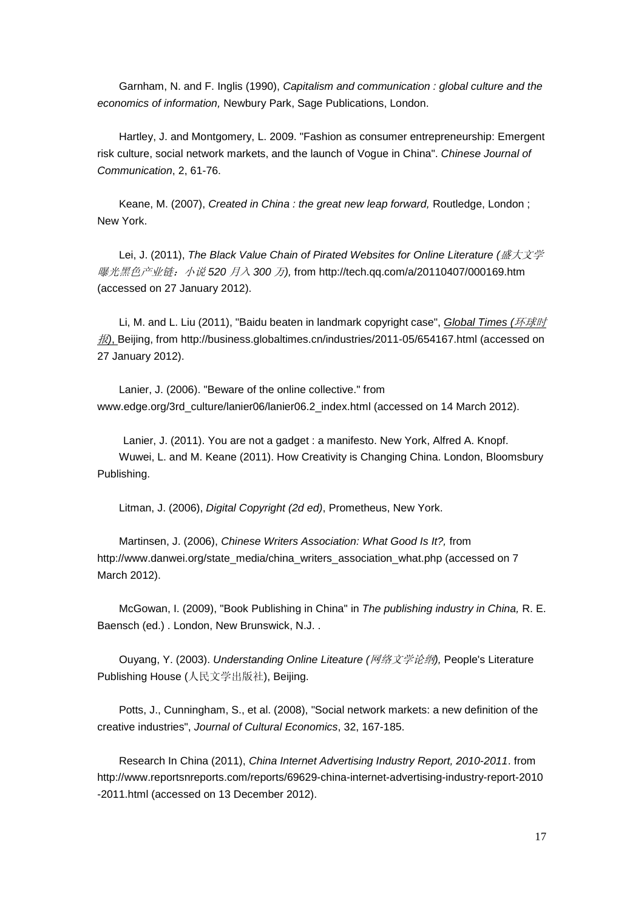Garnham, N. and F. Inglis (1990), *Capitalism and communication : global culture and the economics of information,* Newbury Park, Sage Publications, London.

Hartley, J. and Montgomery, L. 2009. "Fashion as consumer entrepreneurship: Emergent risk culture, social network markets, and the launch of Vogue in China". *Chinese Journal of Communication*, 2, 61-76.

Keane, M. (2007), *Created in China : the great new leap forward,* Routledge, London ; New York.

Lei, J. (2011), *The Black Value Chain of Pirated Websites for Online Literature (盛大文学* 曝光黑色产业链:小说 *520* 月入 *300* 万*),* from http://tech.qq.com/a/20110407/000169.htm (accessed on 27 January 2012).

Li, M. and L. Liu (2011), "Baidu beaten in landmark copyright case", *Global Times (*环球时 报*)*, Beijing, from http://business.globaltimes.cn/industries/2011-05/654167.html (accessed on 27 January 2012).

Lanier, J. (2006). "Beware of the online collective." from www.edge.org/3rd\_culture/lanier06/lanier06.2\_index.html (accessed on 14 March 2012).

Lanier, J. (2011). You are not a gadget : a manifesto. New York, Alfred A. Knopf. Wuwei, L. and M. Keane (2011). How Creativity is Changing China. London, Bloomsbury Publishing.

Litman, J. (2006), *Digital Copyright (2d ed)*, Prometheus, New York.

Martinsen, J. (2006), *Chinese Writers Association: What Good Is It?,* from http://www.danwei.org/state\_media/china\_writers\_association\_what.php (accessed on 7 March 2012).

McGowan, I. (2009), "Book Publishing in China" in *The publishing industry in China,* R. E. Baensch (ed.) . London, New Brunswick, N.J. .

Ouyang, Y. (2003). *Understanding Online Liteature (*网络文学论纲*),* People's Literature Publishing House (人民文学出版社), Beijing.

Potts, J., Cunningham, S., et al. (2008), "Social network markets: a new definition of the creative industries", *Journal of Cultural Economics*, 32, 167-185.

Research In China (2011), *China Internet Advertising Industry Report, 2010-2011*. from http://www.reportsnreports.com/reports/69629-china-internet-advertising-industry-report-2010 -2011.html (accessed on 13 December 2012).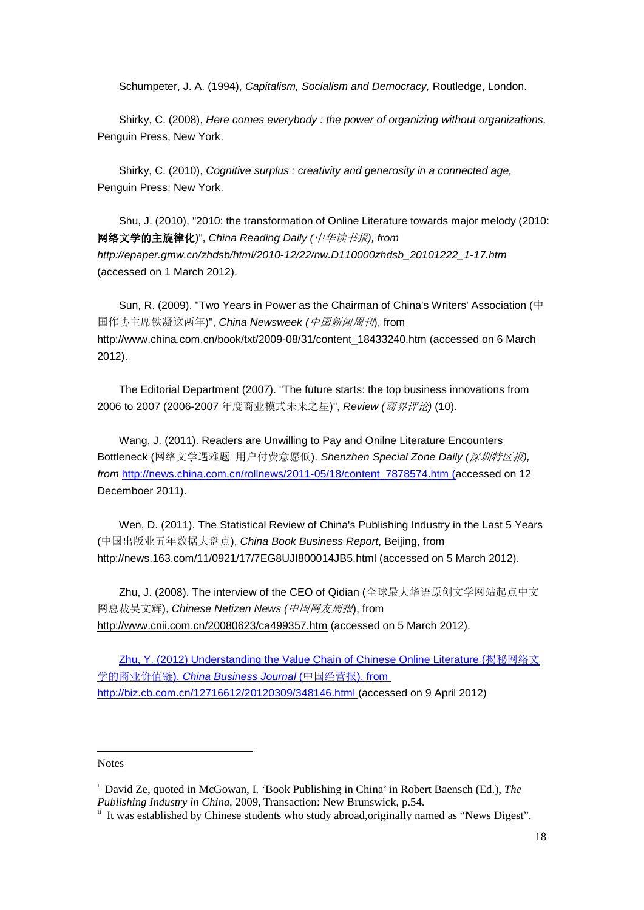Schumpeter, J. A. (1994), *Capitalism, Socialism and Democracy,* Routledge, London.

Shirky, C. (2008), *Here comes everybody : the power of organizing without organizations,* Penguin Press, New York.

Shirky, C. (2010), *Cognitive surplus : creativity and generosity in a connected age,* Penguin Press: New York.

Shu, J. (2010), "2010: the transformation of Online Literature towards major melody (2010: 网络文学的主旋律化)", *China Reading Daily (*中华读书报*), from http://epaper.gmw.cn/zhdsb/html/2010-12/22/nw.D110000zhdsb\_20101222\_1-17.htm*  (accessed on 1 March 2012).

Sun, R. (2009). "Two Years in Power as the Chairman of China's Writers' Association (中 国作协主席铁凝这两年)", *China Newsweek (*中国新闻周刊), from http://www.china.com.cn/book/txt/2009-08/31/content\_18433240.htm (accessed on 6 March 2012).

The Editorial Department (2007). "The future starts: the top business innovations from 2006 to 2007 (2006-2007 年度商业模式未来之星)", *Review (*商界评论*)* (10).

Wang, J. (2011). Readers are Unwilling to Pay and Onilne Literature Encounters Bottleneck (网络文学遇难题 用户付费意愿低). *Shenzhen Special Zone Daily (*深圳特区报*), from* http://news.china.com.cn/rollnews/2011-05/18/content\_7878574.htm (accessed on 12 Decemboer 2011).

Wen, D. (2011). The Statistical Review of China's Publishing Industry in the Last 5 Years (中国出版业五年数据大盘点), *China Book Business Report*, Beijing, from http://news.163.com/11/0921/17/7EG8UJI800014JB5.html (accessed on 5 March 2012).

Zhu, J. (2008). The interview of the CEO of Qidian (全球最大华语原创文学网站起点中文 网总裁吴文辉), *Chinese Netizen News (*中国网友周报), from http://www.cnii.com.cn/20080623/ca499357.htm (accessed on 5 March 2012).

Zhu, Y. (2012) Understanding the Value Chain of Chinese Online Literature (揭秘网络文 学的商业价值链), *China Business Journal* (中国经营报), from <http://biz.cb.com.cn/12716612/20120309/348146.html> (accessed on 9 April 2012)

<span id="page-18-0"></span>Notes

-

<sup>&</sup>lt;sup>i</sup> David Ze, quoted in McGowan, I. 'Book Publishing in China' in Robert Baensch (Ed.), *The Publishing Industry in China,* 2009, Transaction: New Brunswick, p.54.

<sup>&</sup>lt;sup>ii</sup> It was established by Chinese students who study abroad, originally named as "News Digest".